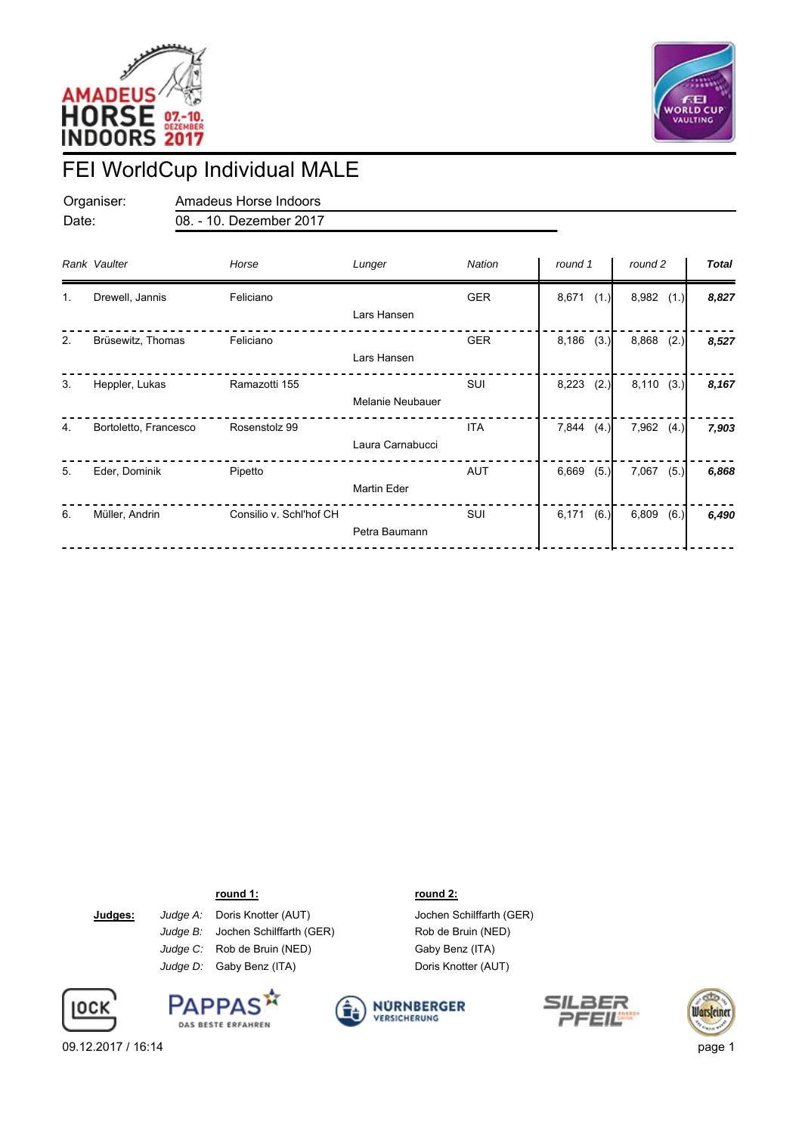



## FEI WorldCup Individual MALE

Organiser: Amadeus Horse Indoors Date: 08. - 10. Dezember 2017

|    | Rank Vaulter          | Horse                   | Lunger                  | Nation     | round 1       | round 2       | <b>Total</b> |
|----|-----------------------|-------------------------|-------------------------|------------|---------------|---------------|--------------|
| 1. | Drewell, Jannis       | Feliciano               | Lars Hansen             | <b>GER</b> | 8,671<br>(1.) | 8,982<br>(1.) | 8,827        |
| 2. | Brüsewitz, Thomas     | Feliciano               | Lars Hansen             | <b>GER</b> | 8,186<br>(3.) | 8,868<br>(2.) | 8,527        |
| 3. | Heppler, Lukas        | Ramazotti 155           | <b>Melanie Neubauer</b> | SUI        | 8,223<br>(2.) | 8,110<br>(3.) | 8,167        |
| 4. | Bortoletto, Francesco | Rosenstolz 99           | Laura Carnabucci        | <b>ITA</b> | 7,844<br>(4.) | 7,962<br>(4.) | 7,903        |
| 5. | Eder, Dominik         | Pipetto                 | <b>Martin Eder</b>      | <b>AUT</b> | 6,669<br>(5.) | 7,067<br>(5.) | 6,868        |
| 6. | Müller, Andrin        | Consilio v. Schl'hof CH | Petra Baumann           | SUI        | 6,171<br>(6.) | 6,809<br>(6.) | 6,490        |

**round 1: round 2:**

**Judges:** *Judge A:* Doris Knotter (AUT)*Judge C:* Rob de Bruin (NED) *Judge D:* Gaby Benz (ITA) *Judge B:* Jochen Schilffarth (GER)









Jochen Schilffarth (GER) Rob de Bruin (NED)





09.12.2017 / 16:14 page 1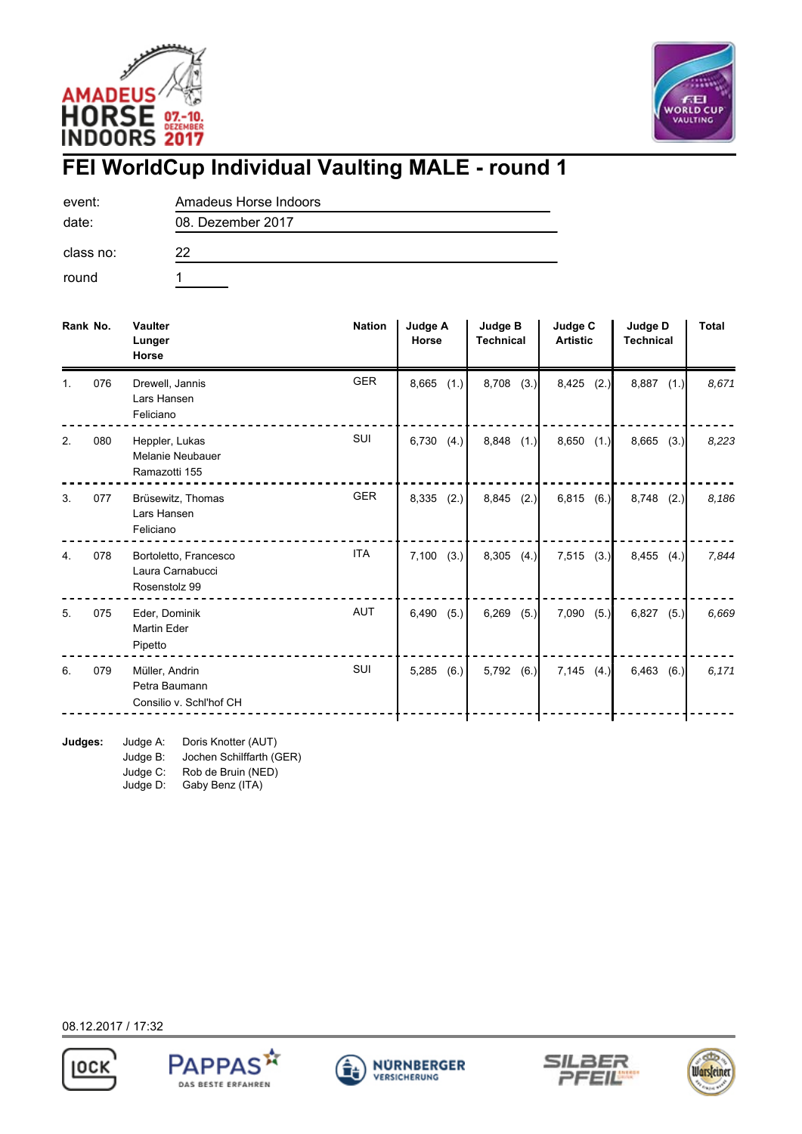



## **FEI WorldCup Individual Vaulting MALE - round 1**

08. Dezember 2017

event: Amadeus Horse Indoors date:

class no: 22

round 1

| Rank No. |     | <b>Vaulter</b><br>Lunger<br>Horse                          | <b>Nation</b> | <b>Judge A</b><br>Horse | <b>Judge B</b><br><b>Technical</b> | Judge C<br><b>Artistic</b> | Judge D<br><b>Technical</b> | <b>Total</b> |
|----------|-----|------------------------------------------------------------|---------------|-------------------------|------------------------------------|----------------------------|-----------------------------|--------------|
|          | 076 | Drewell, Jannis<br>Lars Hansen<br>Feliciano                | <b>GER</b>    | 8,665<br>(1.)           | 8,708<br>(3.)                      | 8,425<br>(2.)              | 8,887<br>(1.)               | 8.671        |
| 2.       | 080 | Heppler, Lukas<br>Melanie Neubauer<br>Ramazotti 155        | SUI           | 6,730<br>(4.)           | 8,848<br>(1.)                      | $8,650$ $(1.)$             | 8,665<br>(3.)               | 8,223        |
| 3.       | 077 | Brüsewitz, Thomas<br>Lars Hansen<br>Feliciano              | <b>GER</b>    | 8,335<br>(2.)           | 8,845<br>(2.)                      | $6,815$ $(6.)$             | 8,748<br>(2.)               | 8,186        |
| 4.       | 078 | Bortoletto, Francesco<br>Laura Carnabucci<br>Rosenstolz 99 | <b>ITA</b>    | 7,100<br>(3.)           | 8,305<br>(4.)                      | 7,515<br>(3.)              | 8,455<br>(4.)               | 7,844        |
| 5.       | 075 | Eder, Dominik<br><b>Martin Eder</b><br>Pipetto             | AUT           | 6,490<br>(5.)           | 6,269<br>(5.)                      | 7,090<br>(5.)              | 6,827<br>(5.)               | 6,669        |
| 6.       | 079 | Müller, Andrin<br>Petra Baumann<br>Consilio v. Schl'hof CH | SUI           | 5,285<br>(6.)           | 5,792<br>(6.)                      | 7,145<br>(4.)              | 6,463<br>(6.)               | 6,171        |

**Judges:** Judge A: Doris Knotter (AUT) Judge B: Jochen Schilffarth (GER)

Judge D: Judge C: Rob de Bruin (NED)

Gaby Benz (ITA)

08.12.2017 / 17:32